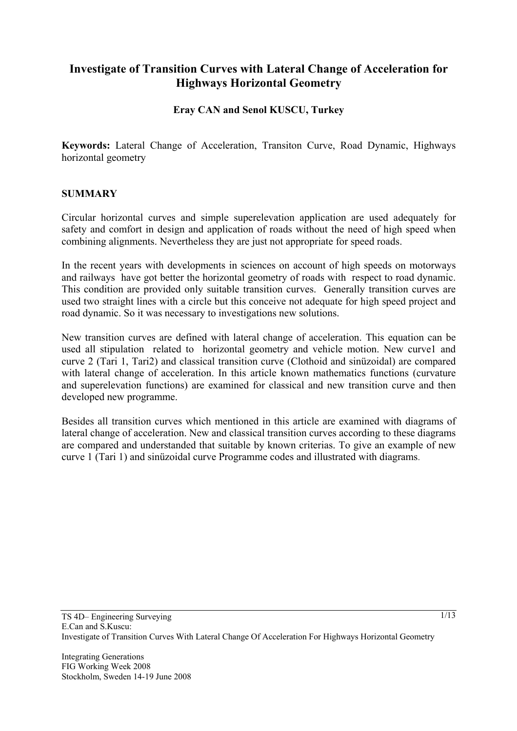# **Investigate of Transition Curves with Lateral Change of Acceleration for Highways Horizontal Geometry**

## **Eray CAN and Senol KUSCU, Turkey**

**Keywords:** Lateral Change of Acceleration, Transiton Curve, Road Dynamic, Highways horizontal geometry

#### **SUMMARY**

Circular horizontal curves and simple superelevation application are used adequately for safety and comfort in design and application of roads without the need of high speed when combining alignments. Nevertheless they are just not appropriate for speed roads.

In the recent years with developments in sciences on account of high speeds on motorways and railways have got better the horizontal geometry of roads with respect to road dynamic. This condition are provided only suitable transition curves. Generally transition curves are used two straight lines with a circle but this conceive not adequate for high speed project and road dynamic. So it was necessary to investigations new solutions.

New transition curves are defined with lateral change of acceleration. This equation can be used all stipulation related to horizontal geometry and vehicle motion. New curve1 and curve 2 (Tari 1, Tari2) and classical transition curve (Clothoid and sinüzoidal) are compared with lateral change of acceleration. In this article known mathematics functions (curvature and superelevation functions) are examined for classical and new transition curve and then developed new programme.

Besides all transition curves which mentioned in this article are examined with diagrams of lateral change of acceleration. New and classical transition curves according to these diagrams are compared and understanded that suitable by known criterias. To give an example of new curve 1 (Tari 1) and sinüzoidal curve Programme codes and illustrated with diagrams.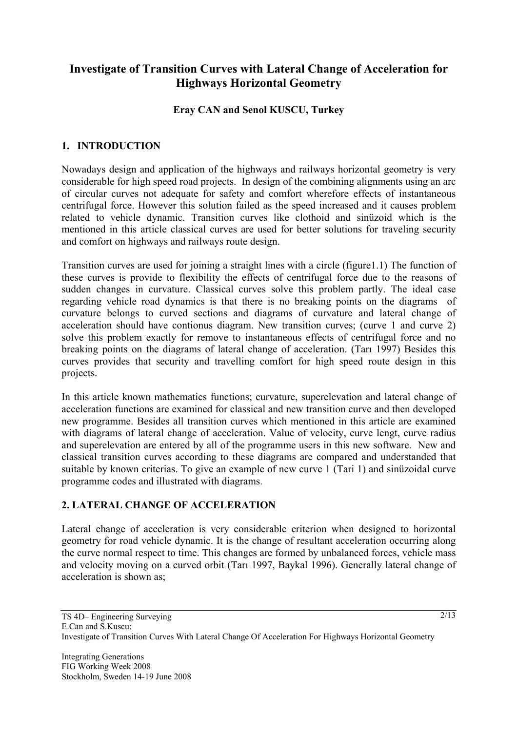# **Investigate of Transition Curves with Lateral Change of Acceleration for Highways Horizontal Geometry**

## **Eray CAN and Senol KUSCU, Turkey**

## **1. INTRODUCTION**

Nowadays design and application of the highways and railways horizontal geometry is very considerable for high speed road projects. In design of the combining alignments using an arc of circular curves not adequate for safety and comfort wherefore effects of instantaneous centrifugal force. However this solution failed as the speed increased and it causes problem related to vehicle dynamic. Transition curves like clothoid and sinüzoid which is the mentioned in this article classical curves are used for better solutions for traveling security and comfort on highways and railways route design.

Transition curves are used for joining a straight lines with a circle (figure1.1) The function of these curves is provide to flexibility the effects of centrifugal force due to the reasons of sudden changes in curvature. Classical curves solve this problem partly. The ideal case regarding vehicle road dynamics is that there is no breaking points on the diagrams of curvature belongs to curved sections and diagrams of curvature and lateral change of acceleration should have contionus diagram. New transition curves; (curve 1 and curve 2) solve this problem exactly for remove to instantaneous effects of centrifugal force and no breaking points on the diagrams of lateral change of acceleration. (Tarı 1997) Besides this curves provides that security and travelling comfort for high speed route design in this projects.

In this article known mathematics functions; curvature, superelevation and lateral change of acceleration functions are examined for classical and new transition curve and then developed new programme. Besides all transition curves which mentioned in this article are examined with diagrams of lateral change of acceleration. Value of velocity, curve lengt, curve radius and superelevation are entered by all of the programme users in this new software. New and classical transition curves according to these diagrams are compared and understanded that suitable by known criterias. To give an example of new curve 1 (Tari 1) and sinüzoidal curve programme codes and illustrated with diagrams.

## **2. LATERAL CHANGE OF ACCELERATION**

Lateral change of acceleration is very considerable criterion when designed to horizontal geometry for road vehicle dynamic. It is the change of resultant acceleration occurring along the curve normal respect to time. This changes are formed by unbalanced forces, vehicle mass and velocity moving on a curved orbit (Tarı 1997, Baykal 1996). Generally lateral change of acceleration is shown as: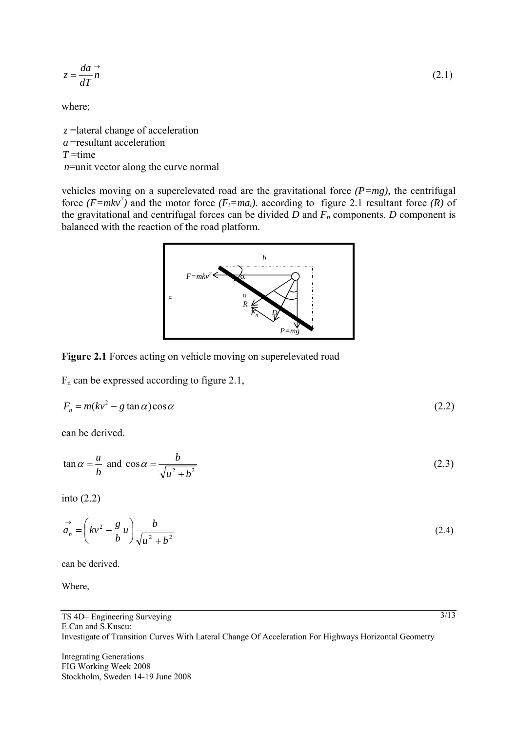$$
z = \frac{da}{dT}\vec{n} \tag{2.1}
$$

where;

*z* =lateral change of acceleration *a* =resultant acceleration *T* =time *n*=unit vector along the curve normal

vehicles moving on a superelevated road are the gravitational force *(P=mg),* the centrifugal force  $(F=mkv^2)$  and the motor force  $(F_t=m a_t)$ . according to figure 2.1 resultant force  $(R)$  of the gravitational and centrifugal forces can be divided  $\overline{D}$  and  $\overline{F_n}$  components.  $D$  component is balanced with the reaction of the road platform.



**Figure 2.1** Forces acting on vehicle moving on superelevated road

 $F_n$  can be expressed according to figure 2.1,

$$
F_n = m(kv^2 - g\tan\alpha)\cos\alpha\tag{2.2}
$$

can be derived.

$$
\tan \alpha = \frac{u}{b} \text{ and } \cos \alpha = \frac{b}{\sqrt{u^2 + b^2}} \tag{2.3}
$$

into (2.2)

$$
\vec{a}_n = \left(kv^2 - \frac{g}{b}u\right)\frac{b}{\sqrt{u^2 + b^2}}\tag{2.4}
$$

can be derived.

Where,

Integrating Generations FIG Working Week 2008 Stockholm, Sweden 14-19 June 2008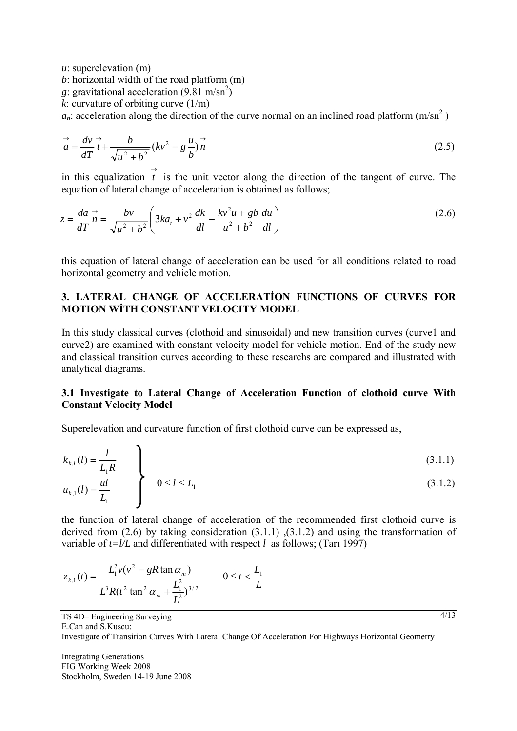*u*: superelevation (m)

*b*: horizontal width of the road platform (m)

*g*: gravitational acceleration  $(9.81 \text{ m/sn}^2)$ 

*k*: curvature of orbiting curve  $(1/m)$ 

 $a_n$ : acceleration along the direction of the curve normal on an inclined road platform (m/sn<sup>2</sup>)

$$
\vec{a} = \frac{dv}{dT}\vec{t} + \frac{b}{\sqrt{u^2 + b^2}}(kv^2 - g\frac{u}{b})\vec{n}
$$
\n(2.5)

in this equalization  $\overrightarrow{t}$  is the unit vector along the direction of the tangent of curve. The equation of lateral change of acceleration is obtained as follows;

$$
z = \frac{da}{dT} \vec{n} = \frac{bv}{\sqrt{u^2 + b^2}} \left( 3ka_t + v^2 \frac{dk}{dl} - \frac{kv^2 u + gb}{u^2 + b^2} \frac{du}{dl} \right)
$$
 (2.6)

this equation of lateral change of acceleration can be used for all conditions related to road horizontal geometry and vehicle motion.

## **3. LATERAL CHANGE OF ACCELERATİON FUNCTIONS OF CURVES FOR MOTION WİTH CONSTANT VELOCITY MODEL**

In this study classical curves (clothoid and sinusoidal) and new transition curves (curve1 and curve2) are examined with constant velocity model for vehicle motion. End of the study new and classical transition curves according to these researchs are compared and illustrated with analytical diagrams.

#### **3.1 Investigate to Lateral Change of Acceleration Function of clothoid curve With Constant Velocity Model**

Superelevation and curvature function of first clothoid curve can be expressed as,

$$
k_{k,l}(l) = \frac{l}{L_l R} \tag{3.1.1}
$$

$$
u_{k,1}(l) = \frac{ul}{L_1}
$$
 0 \le l \le L\_1 (3.1.2)

the function of lateral change of acceleration of the recommended first clothoid curve is derived from  $(2.6)$  by taking consideration  $(3.1.1)$ ,  $(3.1.2)$  and using the transformation of variable of  $t = l/L$  and differentiated with respect *l* as follows; (Tari 1997)

$$
z_{k,1}(t) = \frac{L_1^2 v(v^2 - gR \tan \alpha_m)}{L^3 R(t^2 \tan^2 \alpha_m + \frac{L_1^2}{L^2})^{3/2}} \qquad 0 \le t < \frac{L_1}{L}
$$

TS 4D– Engineering Surveying E.Can and S.Kuscu: Investigate of Transition Curves With Lateral Change Of Acceleration For Highways Horizontal Geometry

Integrating Generations FIG Working Week 2008 Stockholm, Sweden 14-19 June 2008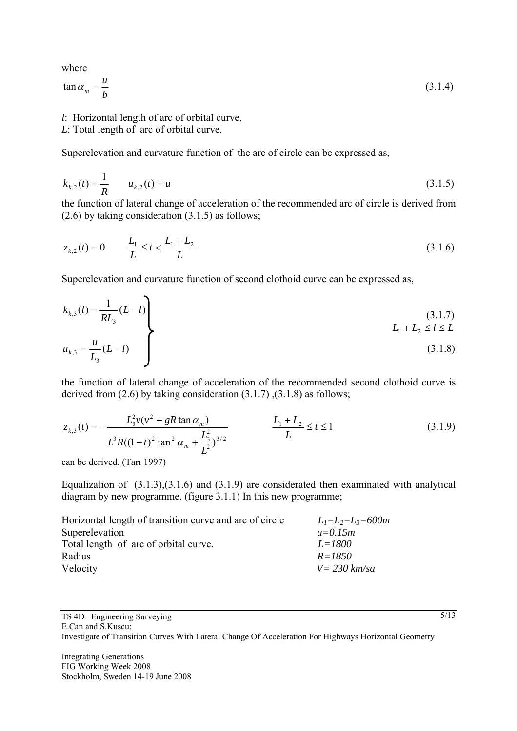where

$$
\tan \alpha_m = \frac{u}{b} \tag{3.1.4}
$$

- *l*: Horizontal length of arc of orbital curve,
- *L*: Total length of arc of orbital curve.

Superelevation and curvature function of the arc of circle can be expressed as,

$$
k_{k,2}(t) = \frac{1}{R} \qquad u_{k,2}(t) = u \tag{3.1.5}
$$

the function of lateral change of acceleration of the recommended arc of circle is derived from (2.6) by taking consideration (3.1.5) as follows;

$$
z_{k,2}(t) = 0 \qquad \frac{L_1}{L} \le t < \frac{L_1 + L_2}{L} \tag{3.1.6}
$$

Superelevation and curvature function of second clothoid curve can be expressed as,

$$
k_{k,3}(l) = \frac{1}{RL_3}(L-l)
$$
\n
$$
u_{k,3} = \frac{u}{L_3}(L-l)
$$
\n(3.1.7)\n
$$
L_1 + L_2 \le l \le L
$$
\n(3.1.8)

the function of lateral change of acceleration of the recommended second clothoid curve is derived from  $(2.6)$  by taking consideration  $(3.1.7)$ ,  $(3.1.8)$  as follows;

$$
z_{k,3}(t) = -\frac{L_3^2 v (v^2 - gR \tan \alpha_m)}{L^3 R ((1-t)^2 \tan^2 \alpha_m + \frac{L_3^2}{L^2})^{3/2}} \qquad \frac{L_1 + L_2}{L} \le t \le 1
$$
 (3.1.9)

can be derived. (Tarı 1997)

Equalization of  $(3.1.3),(3.1.6)$  and  $(3.1.9)$  are considerated then examinated with analytical diagram by new programme. (figure 3.1.1) In this new programme;

| Horizontal length of transition curve and arc of circle | $L_1=L_2=L_3=600m$      |
|---------------------------------------------------------|-------------------------|
| Superelevation                                          | $u = 0.15m$             |
| Total length of arc of orbital curve.                   | $L = 1800$              |
| Radius                                                  | $R = 1850$              |
| Velocity                                                | $V = 230 \text{ km/sa}$ |

TS 4D– Engineering Surveying E.Can and S.Kuscu: Investigate of Transition Curves With Lateral Change Of Acceleration For Highways Horizontal Geometry

Integrating Generations FIG Working Week 2008 Stockholm, Sweden 14-19 June 2008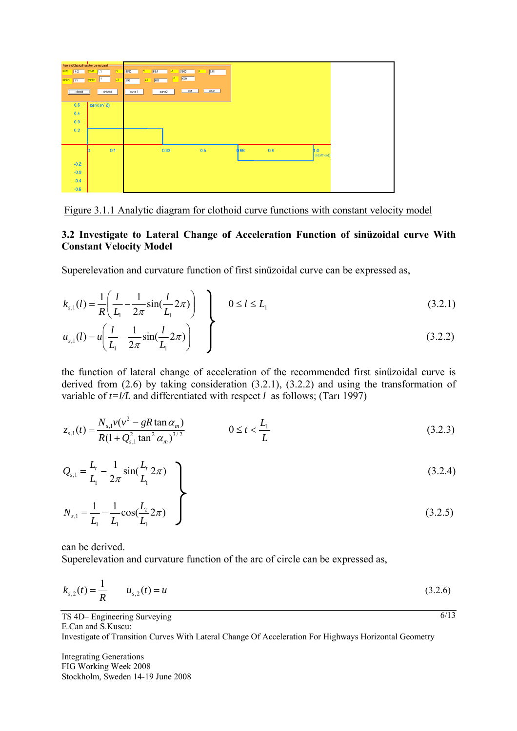| New and Classical transition curves panel |                                                                      |
|-------------------------------------------|----------------------------------------------------------------------|
| xitat 02 vitat 1,1                        | <b>T</b><br>1850                                                     |
| $s$ frith $1,1$                           | <b>1 12 12 12 12 12 12 12</b><br>$43 -$<br>$\mathbf{f}^1$<br>yfirith |
| klotoid                                   | sinizoid                                                             |
|                                           |                                                                      |
| 0.5                                       | z/(m/sn <sup>-2</sup> )                                              |
| 0.4                                       |                                                                      |
| 0.3                                       |                                                                      |
| 0.2                                       |                                                                      |
|                                           |                                                                      |
|                                           |                                                                      |
|                                           | 0.1                                                                  |
| $-0.2$                                    |                                                                      |
|                                           |                                                                      |
| $-0.3$                                    |                                                                      |
| $-0.4$                                    |                                                                      |
| $-0.5$                                    |                                                                      |

Figure 3.1.1 Analytic diagram for clothoid curve functions with constant velocity model

### **3.2 Investigate to Lateral Change of Acceleration Function of sinüzoidal curve With Constant Velocity Model**

Superelevation and curvature function of first sinüzoidal curve can be expressed as,

$$
k_{s,1}(l) = \frac{1}{R} \left( \frac{l}{L_1} - \frac{1}{2\pi} \sin(\frac{l}{L_1} 2\pi) \right) \quad 0 \le l \le L_1
$$
 (3.2.1)

$$
u_{s,1}(l) = u \left( \frac{l}{L_1} - \frac{1}{2\pi} \sin(\frac{l}{L_1} 2\pi) \right) \quad \int \tag{3.2.2}
$$

the function of lateral change of acceleration of the recommended first sinüzoidal curve is derived from (2.6) by taking consideration (3.2.1), (3.2.2) and using the transformation of variable of  $t = l/L$  and differentiated with respect *l* as follows; (Tari 1997)

$$
z_{s,1}(t) = \frac{N_{s,1}v(v^2 - gR\tan\alpha_m)}{R(1 + Q_{s,1}^2\tan^2\alpha_m)^{3/2}} \qquad \qquad 0 \le t < \frac{L_1}{L}
$$
 (3.2.3)

$$
Q_{s,1} = \frac{L_t}{L_1} - \frac{1}{2\pi} \sin(\frac{L_t}{L_1} 2\pi)
$$
 (3.2.4)

$$
N_{s,1} = \frac{1}{L_1} - \frac{1}{L_1} \cos(\frac{L_t}{L_1} 2\pi) \tag{3.2.5}
$$

can be derived.

Superelevation and curvature function of the arc of circle can be expressed as,

$$
k_{s,2}(t) = \frac{1}{R} \qquad u_{s,2}(t) = u \tag{3.2.6}
$$

 $\sqrt{6/13}$ 

TS 4D– Engineering Surveying E.Can and S.Kuscu:

Investigate of Transition Curves With Lateral Change Of Acceleration For Highways Horizontal Geometry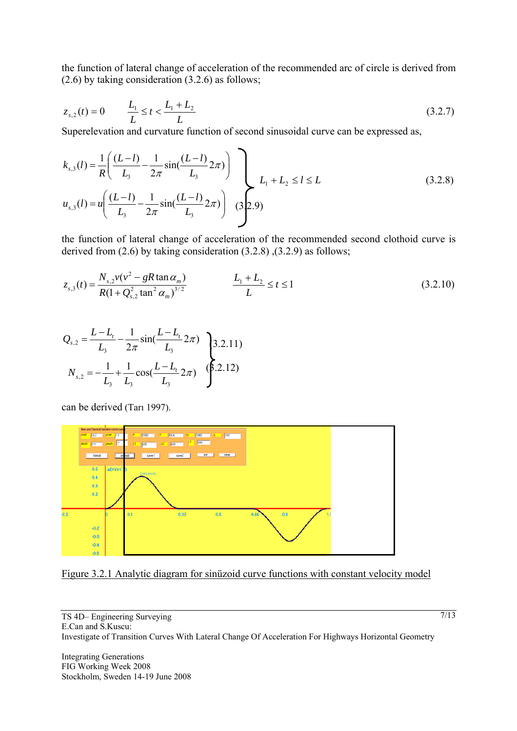the function of lateral change of acceleration of the recommended arc of circle is derived from (2.6) by taking consideration (3.2.6) as follows;

$$
z_{s,2}(t) = 0 \qquad \frac{L_1}{L} \le t < \frac{L_1 + L_2}{L} \tag{3.2.7}
$$

Superelevation and curvature function of second sinusoidal curve can be expressed as,

$$
k_{s,3}(l) = \frac{1}{R} \left( \frac{(L-l)}{L_3} - \frac{1}{2\pi} \sin(\frac{(L-l)}{L_3} 2\pi) \right)
$$
  

$$
u_{s,3}(l) = u \left( \frac{(L-l)}{L_3} - \frac{1}{2\pi} \sin(\frac{(L-l)}{L_3} 2\pi) \right)
$$
 (32.9) (32.9)

the function of lateral change of acceleration of the recommended second clothoid curve is derived from (2.6) by taking consideration (3.2.8) ,(3.2.9) as follows;

$$
z_{s,3}(t) = \frac{N_{s,2}v(v^2 - gR\tan\alpha_m)}{R(1 + Q_{s,2}^2\tan^2\alpha_m)^{3/2}} \qquad L_1 + L_2 \le t \le 1
$$
\n(3.2.10)

$$
Q_{s,2} = \frac{L - L_t}{L_3} - \frac{1}{2\pi} \sin(\frac{L - L_t}{L_3} 2\pi)
$$
\n
$$
N_{s,2} = -\frac{1}{L_3} + \frac{1}{L_3} \cos(\frac{L - L_t}{L_3} 2\pi)
$$
\n
$$
(8.2.12)
$$

can be derived (Tarı 1997).





TS 4D– Engineering Surveying E.Can and S.Kuscu: Investigate of Transition Curves With Lateral Change Of Acceleration For Highways Horizontal Geometry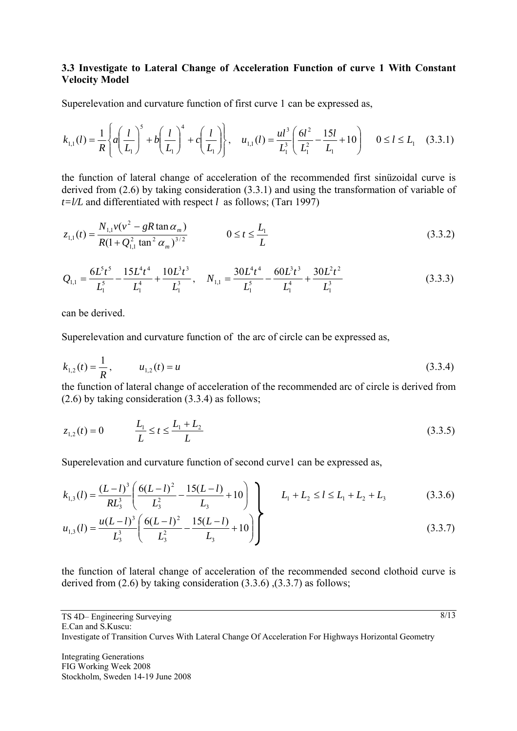#### **3.3 Investigate to Lateral Change of Acceleration Function of curve 1 With Constant Velocity Model**

Superelevation and curvature function of first curve 1 can be expressed as,

$$
k_{1,1}(l) = \frac{1}{R} \left\{ a \left( \frac{l}{L_1} \right)^5 + b \left( \frac{l}{L_1} \right)^4 + c \left( \frac{l}{L_1} \right) \right\}, \quad u_{1,1}(l) = \frac{ul^3}{L_1^3} \left( \frac{6l^2}{L_1^2} - \frac{15l}{L_1} + 10 \right) \quad 0 \le l \le L_1 \quad (3.3.1)
$$

the function of lateral change of acceleration of the recommended first sinüzoidal curve is derived from (2.6) by taking consideration (3.3.1) and using the transformation of variable of  $t = l/L$  and differentiated with respect *l* as follows; (Tari 1997)

$$
z_{1,1}(t) = \frac{N_{1,1}v(v^2 - gR\tan\alpha_m)}{R(1 + Q_{1,1}^2 \tan^2 \alpha_m)^{3/2}} \qquad \qquad 0 \le t \le \frac{L_1}{L}
$$
 (3.3.2)

$$
Q_{1,1} = \frac{6L^5t^5}{L_1^5} - \frac{15L^4t^4}{L_1^4} + \frac{10L^3t^3}{L_1^3}, \quad N_{1,1} = \frac{30L^4t^4}{L_1^5} - \frac{60L^3t^3}{L_1^4} + \frac{30L^2t^2}{L_1^3}
$$
(3.3.3)

can be derived.

Superelevation and curvature function of the arc of circle can be expressed as,

$$
k_{1,2}(t) = \frac{1}{R}, \qquad u_{1,2}(t) = u \tag{3.3.4}
$$

the function of lateral change of acceleration of the recommended arc of circle is derived from (2.6) by taking consideration (3.3.4) as follows;

$$
z_{1,2}(t) = 0 \qquad \qquad \frac{L_1}{L} \le t \le \frac{L_1 + L_2}{L} \tag{3.3.5}
$$

Superelevation and curvature function of second curve1 can be expressed as,

$$
k_{1,3}(l) = \frac{(L-l)^3}{RL_3^3} \left( \frac{6(L-l)^2}{L_3^2} - \frac{15(L-l)}{L_3} + 10 \right) \left( \frac{L_1 + L_2 \le l \le L_1 + L_2 + L_3}{L_1 + L_2 \le L_1 + L_3} \right) \tag{3.3.6}
$$

$$
u_{1,3}(l) = \frac{u(L-l)^3}{L_3^3} \left( \frac{6(L-l)^2}{L_3^2} - \frac{15(L-l)}{L_3} + 10 \right)
$$
 (3.3.7)

the function of lateral change of acceleration of the recommended second clothoid curve is derived from  $(2.6)$  by taking consideration  $(3.3.6)$ ,  $(3.3.7)$  as follows;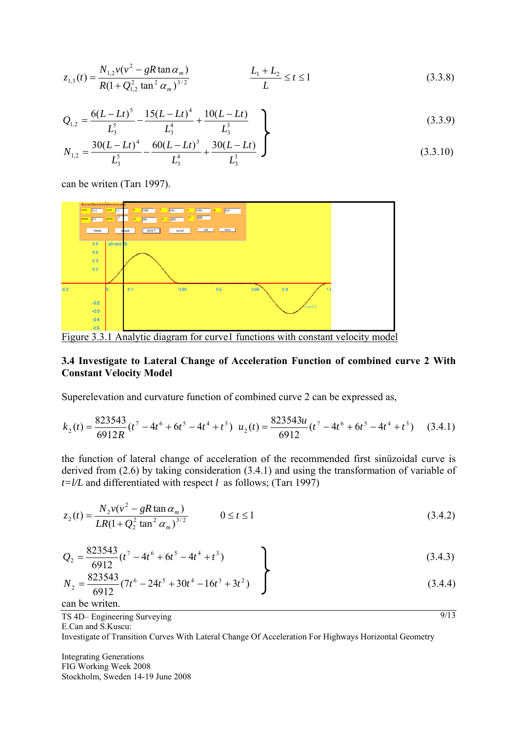$$
z_{1,3}(t) = \frac{N_{1,2}v(v^2 - gR\tan\alpha_m)}{R(1 + Q_{1,2}^2\tan^2\alpha_m)^{3/2}} \qquad L_1 + L_2 \le t \le 1
$$
\n(3.3.8)

$$
Q_{1,2} = \frac{6(L - Lt)^5}{L_3^5} - \frac{15(L - Lt)^4}{L_3^4} + \frac{10(L - Lt)}{L_3^3}
$$
 (3.3.9)

$$
N_{1,2} = \frac{30(L - Lt)^4}{L_3^5} - \frac{60(L - Lt)^3}{L_3^4} + \frac{30(L - Lt)}{L_3^3}
$$
 (3.3.10)

can be writen (Tarı 1997).



Figure 3.3.1 Analytic diagram for curve1 functions with constant velocity model

#### **3.4 Investigate to Lateral Change of Acceleration Function of combined curve 2 With Constant Velocity Model**

Superelevation and curvature function of combined curve 2 can be expressed as,

$$
k_2(t) = \frac{823543}{6912R}(t^7 - 4t^6 + 6t^5 - 4t^4 + t^3) \quad u_2(t) = \frac{823543u}{6912}(t^7 - 4t^6 + 6t^5 - 4t^4 + t^3) \tag{3.4.1}
$$

the function of lateral change of acceleration of the recommended first sinüzoidal curve is derived from (2.6) by taking consideration (3.4.1) and using the transformation of variable of  $t = l/L$  and differentiated with respect *l* as follows; (Tari 1997)

$$
z_2(t) = \frac{N_2 v (v^2 - gR \tan \alpha_m)}{LR(1 + Q_2^2 \tan^2 \alpha_m)^{3/2}} \qquad 0 \le t \le 1
$$
\n(3.4.2)

$$
Q_2 = \frac{823543}{6912} (t^7 - 4t^6 + 6t^5 - 4t^4 + t^3)
$$
 (3.4.3)

$$
N_2 = \frac{823543}{6912} (7t^6 - 24t^5 + 30t^4 - 16t^3 + 3t^2) \int (3.4.4)
$$

 $9/13$ 

can be writen.

TS 4D– Engineering Surveying E.Can and S.Kuscu:

Investigate of Transition Curves With Lateral Change Of Acceleration For Highways Horizontal Geometry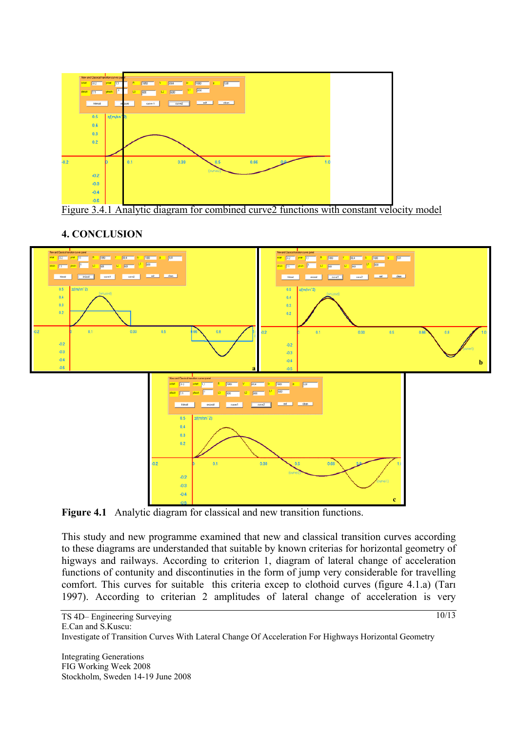

Figure 3.4.1 Analytic diagram for combined curve2 functions with constant velocity model

# **4. CONCLUSION**



**Figure 4.1** Analytic diagram for classical and new transition functions.

This study and new programme examined that new and classical transition curves according to these diagrams are understanded that suitable by known criterias for horizontal geometry of higways and railways. According to criterion 1, diagram of lateral change of acceleration functions of contunity and discontinuties in the form of jump very considerable for travelling comfort. This curves for suitable this criteria excep to clothoid curves (figure 4.1.a) (Tarı 1997). According to criterian 2 amplitudes of lateral change of acceleration is very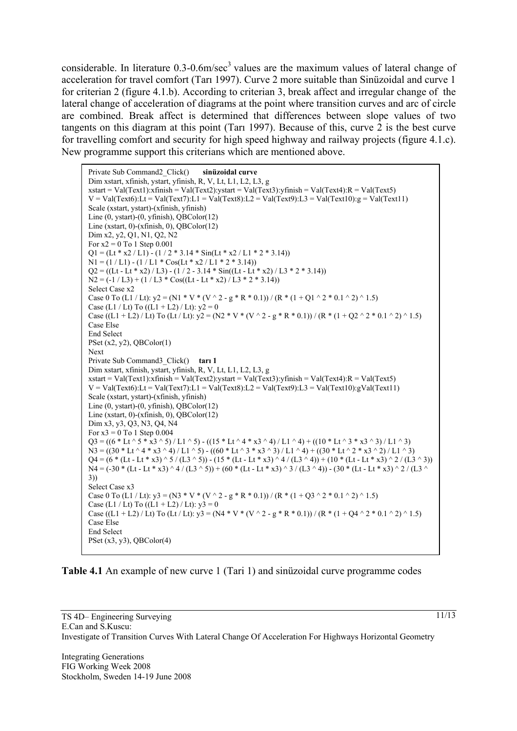considerable. In literature  $0.3$ - $0.6$ m/sec<sup>3</sup> values are the maximum values of lateral change of acceleration for travel comfort (Tarı 1997). Curve 2 more suitable than Sinüzoidal and curve 1 for criterian 2 (figure 4.1.b). According to criterian 3, break affect and irregular change of the lateral change of acceleration of diagrams at the point where transition curves and arc of circle are combined. Break affect is determined that differences between slope values of two tangents on this diagram at this point (Tarı 1997). Because of this, curve 2 is the best curve for travelling comfort and security for high speed highway and railway projects (figure 4.1.c). New programme support this criterians which are mentioned above.

Private Sub Command2\_Click() **sinüzoidal curve** Dim xstart, xfinish, ystart, yfinish, R, V, Lt, L1, L2, L3, g  $xstart = Val(Text1):xfinal(Text2):ystart = Val(Text3):yfinal = Val(Text4):R = Val(Text5)$  $V = Val(Text6):Lt = Val(Text7):L1 = Val(Text8):L2 = Val(Text9):L3 = Val(Text10):g = Val(Text11)$ Scale (xstart, ystart)-(xfinish, yfinish) Line (0, ystart)-(0, yfinish), QBColor(12) Line (xstart, 0)-(xfinish, 0), QBColor(12) Dim x2, y2, Q1, N1, Q2, N2 For  $x2 = 0$  To 1 Step 0.001  $Q1 = (Lt * x2 / L1) - (1 / 2 * 3.14 * Sin(Lt * x2 / L1 * 2 * 3.14))$  $N1 = (1 / L1) - (1 / L1 * Cos(Lt * x2 / L1 * 2 * 3.14))$  $Q2 = ((Lt - Lt * x2) / L3) - (1 / 2 - 3.14 * Sin((Lt - Lt * x2) / L3 * 2 * 3.14))$  $N2 = (-1 / L3) + (1 / L3 * Cos((Lt - Lt * x2) / L3 * 2 * 3.14))$ Select Case x2 Case 0 To (L1 / Lt):  $y2 = (N1 * V * (V \cdot 2 - g * R * 0.1)) / (R * (1 + Q1 \cdot 2 * 0.1 \cdot 2) \cdot 1.5)$ Case (L1 / Lt) To ((L1 + L2) / Lt):  $y2 = 0$ Case  $((L1 + L2) / Lt)$  To  $(Lt / Lt)$ :  $y2 = (N2 * V * (V \cdot 2 - g * R * 0.1)) / (R * (1 + Q2 \cdot 2 * 0.1 \cdot 2) \cdot 1.5)$ Case Else End Select PSet  $(x2, y2)$ , QBColor $(1)$ Next Private Sub Command3\_Click() **tarı 1** Dim xstart, xfinish, ystart, yfinish, R, V, Lt, L1, L2, L3, g  $xstart = Val(Text1):xfinal = Val(Text2):ystart = Val(Text3):yfinal = Val(Text4):R = Val(Text5)$  $V = Val(Text6):L1 = Val(Text7):L1 = Val(Text8):L2 = Val(Text9):L3 = Val(Text10):gVal(Text11)$ Scale (xstart, ystart)-(xfinish, yfinish) Line (0, ystart)-(0, yfinish), QBColor(12) Line (xstart,  $0$ )-(xfinish,  $0$ ), OBColor(12) Dim x3, y3, Q3, N3, Q4, N4 For  $x3 = 0$  To 1 Step 0.004  $Q3 = ((6 * Lt \cdot 5 * x3 \cdot 5) / L1 \cdot 5) - ((15 * Lt \cdot 4 * x3 \cdot 4) / L1 \cdot 4) + ((10 * Lt \cdot 3 * x3 \cdot 3) / L1 \cdot 3)$  $N3 = ((30 * Lt^{\wedge} 4 * x3^{\wedge} 4) / L1^{\wedge} 5) - ((60 * Lt^{\wedge} 3 * x3^{\wedge} 3) / L1^{\wedge} 4) + ((30 * Lt^{\wedge} 2 * x3^{\wedge} 2) / L1^{\wedge} 3)$  $Q4 = (6 * (Lt - Lt * x3) ^{^{\wedge}}5 / (L3 ^{^{\wedge}}5)) - (15 * (Lt - Lt * x3) ^{^{\wedge}}4 / (L3 ^{^{\wedge}}4)) + (10 * (Lt - Lt * x3) ^{^{\wedge}}2 / (L3 ^{^{\wedge}}3))$ N4 = (-30 \* (Lt - Lt \* x3) ^ 4 / (L3 ^ 5)) + (60 \* (Lt - Lt \* x3) ^ 3 / (L3 ^ 4)) - (30 \* (Lt - Lt \* x3) ^ 2 / (L3 ^ 3)) Select Case x3 Case 0 To (L1 / Lt):  $y3 = (N3 * V * (V \cdot 2 - g * R * 0.1)) / (R * (1 + Q3 \cdot 2 * 0.1 \cdot 2) \cdot 1.5)$ Case (L1 / Lt) To  $((L1 + L2) / Lt): y3 = 0$ Case ((L1 + L2) / Lt) To (Lt / Lt):  $y3 = (N4 * V * (V \cdot 2 - g * R * 0.1)) / (R * (1 + Q4 \cdot 2 * 0.1 \cdot 2) \cdot 1.5)$ Case Else End Select PSet  $(x3, y3)$ , QBColor $(4)$ 

#### **Table 4.1** An example of new curve 1 (Tari 1) and sinüzoidal curve programme codes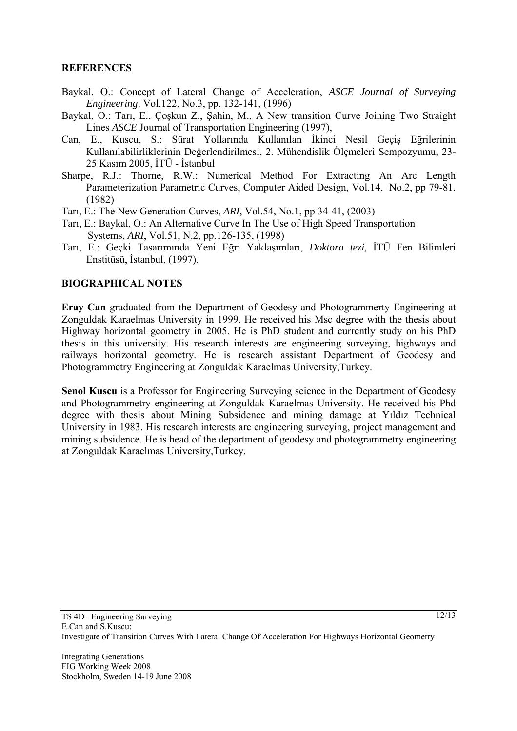## **REFERENCES**

- Baykal, O.: Concept of Lateral Change of Acceleration, *ASCE Journal of Surveying Engineering,* Vol.122, No.3, pp. 132-141, (1996)
- Baykal, O.: Tarı, E., Çoşkun Z., Şahin, M., A New transition Curve Joining Two Straight Lines *ASCE* Journal of Transportation Engineering (1997),
- Can, E., Kuscu, S.: Sürat Yollarında Kullanılan İkinci Nesil Geçiş Eğrilerinin Kullanılabilirliklerinin Değerlendirilmesi, 2. Mühendislik Ölçmeleri Sempozyumu, 23- 25 Kasım 2005, İTÜ - İstanbul
- Sharpe, R.J.: Thorne, R.W.: Numerical Method For Extracting An Arc Length Parameterization Parametric Curves, Computer Aided Design, Vol.14, No.2, pp 79-81. (1982)
- Tarı, E.: The New Generation Curves, *ARI*, Vol.54, No.1, pp 34-41, (2003)
- Tarı, E.: Baykal, O.: An Alternative Curve In The Use of High Speed Transportation Systems, *ARI*, Vol.51, N.2, pp.126-135, (1998)
- Tarı, E.: Geçki Tasarımında Yeni Eğri Yaklaşımları, *Doktora tezi,* İTÜ Fen Bilimleri Enstitüsü, İstanbul, (1997).

## **BIOGRAPHICAL NOTES**

**Eray Can** graduated from the Department of Geodesy and Photogrammerty Engineering at Zonguldak Karaelmas University in 1999. He received his Msc degree with the thesis about Highway horizontal geometry in 2005. He is PhD student and currently study on his PhD thesis in this university. His research interests are engineering surveying, highways and railways horizontal geometry. He is research assistant Department of Geodesy and Photogrammetry Engineering at Zonguldak Karaelmas University,Turkey.

**Senol Kuscu** is a Professor for Engineering Surveying science in the Department of Geodesy and Photogrammetry engineering at Zonguldak Karaelmas University. He received his Phd degree with thesis about Mining Subsidence and mining damage at Yıldız Technical University in 1983. His research interests are engineering surveying, project management and mining subsidence. He is head of the department of geodesy and photogrammetry engineering at Zonguldak Karaelmas University,Turkey.